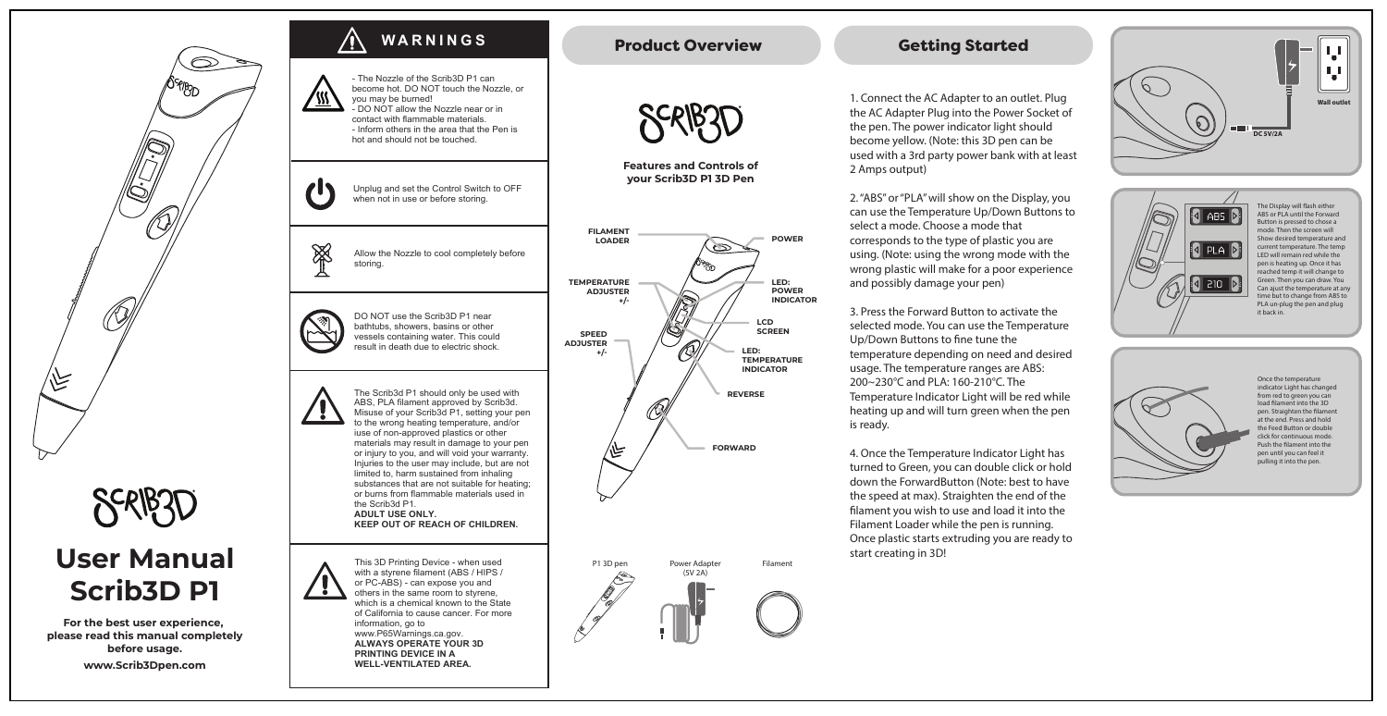

## **For the best user experience, please read this manual completely before usage. www.Scrib3Dpen.com**



## **Getting Started**

1. Connect the AC Adapter to an outlet. Plug the AC Adapter Plug into the Power Socket of the pen. The power indicator light should become yellow. (Note: this 3D pen can be used with a 3rd party power bank with at least 2 Amps output)

2. "ABS" or "PLA" will show on the Display, you can use the Temperature Up/Down Buttons to select a mode. Choose a mode that corresponds to the type of plastic you are using. (Note: using the wrong mode with the wrong plastic will make for a poor experience and possibly damage your pen)

**LED: POWER INDICATOR**

**POWER**

3. Press the Forward Button to activate the selected mode. You can use the Temperature Up/Down Buttons to fine tune the temperature depending on need and desired usage. The temperature ranges are ABS: 200~230°C and PLA: 160-210°C. The Temperature Indicator Light will be red while heating up and will turn green when the pen is ready.

4. Once the Temperature Indicator Light has turned to Green, you can double click or hold down the ForwardButton (Note: best to have the speed at max). Straighten the end of the filament you wish to use and load it into the Filament Loader while the pen is running. Once plastic starts extruding you are ready to start creating in 3D!





The Display will flash either ABS or PLA until the Forward Button is pressed to chose a mode. Then the screen will Show desired temperature and current temperature. The temp LED will remain red while the pen is heating up. Once it has reached temp it will change to Green. Then you can draw. You Can ajust the temperature at any time but to change from ABS to PLA un-plug the pen and plug it back in.



Once the temperature indicator Light has changed from red to green you can load filament into the 3D pen. Straighten the filament at the end. Press and hold the Feed Button or double click for continuous mode. Push the filament into the pen until you can feel it pulling it into the pen.